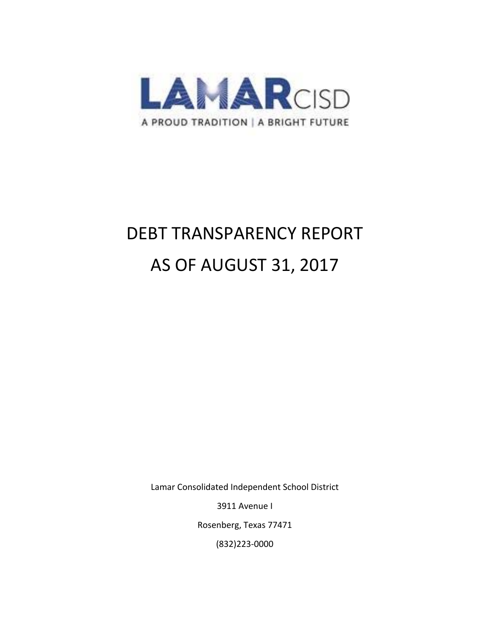

# DEBT TRANSPARENCY REPORT AS OF AUGUST 31, 2017

Lamar Consolidated Independent School District

3911 Avenue I

Rosenberg, Texas 77471

(832)223‐0000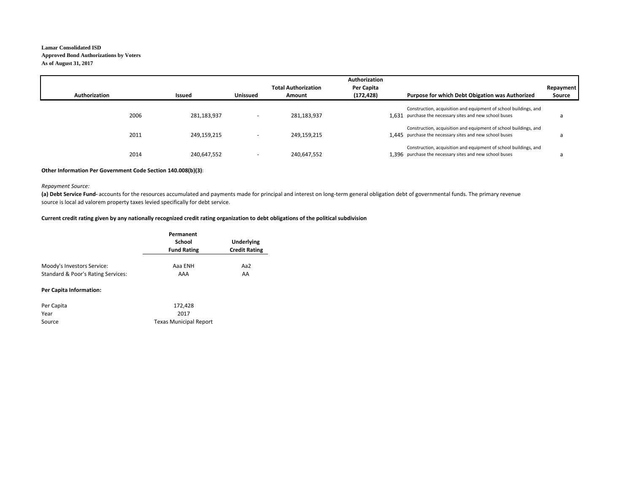### **Lamar Consolidated ISDApproved Bond Authorizations by Voters As of August 31, 2017**

|               |             |                          |                            | Authorization |                                                                                                                             |           |
|---------------|-------------|--------------------------|----------------------------|---------------|-----------------------------------------------------------------------------------------------------------------------------|-----------|
|               |             |                          | <b>Total Authorization</b> | Per Capita    |                                                                                                                             | Repayment |
| Authorization | Issued      | <b>Unissued</b>          | Amount                     | (172,428)     | Purpose for which Debt Obigation was Authorized                                                                             | Source    |
| 2006          | 281,183,937 |                          | 281,183,937                |               | Construction, acquisition and equipment of school buildings, and<br>1.631 purchase the necessary sites and new school buses | a         |
| 2011          | 249,159,215 |                          | 249,159,215                |               | Construction, acquisition and equipment of school buildings, and<br>1.445 purchase the necessary sites and new school buses | a         |
| 2014          | 240,647,552 | $\overline{\phantom{a}}$ | 240,647,552                |               | Construction, acquisition and equipment of school buildings, and<br>1.396 purchase the necessary sites and new school buses | a         |

#### **Other Information Per Government Code Section 140.008(b)(3):**

#### *Repayment Source:*

(a) Debt Service Fund-accounts for the resources accumulated and payments made for principal and interest on long-term general obligation debt of governmental funds. The primary revenue source is local ad valorem property taxes levied specifically for debt service.

#### Current credit rating given by any nationally recognized credit rating organization to debt obligations of the political subdivision

|                                    | Permanent<br>School<br><b>Fund Rating</b> | Underlying<br><b>Credit Rating</b> |  |
|------------------------------------|-------------------------------------------|------------------------------------|--|
| Moody's Investors Service:         | Aaa ENH                                   | Aa2                                |  |
| Standard & Poor's Rating Services: | AAA                                       | AA                                 |  |

#### **Per Capita Information:**

| Per Capita | 172,428                       |
|------------|-------------------------------|
| Year       | 2017                          |
| Source     | <b>Texas Municipal Report</b> |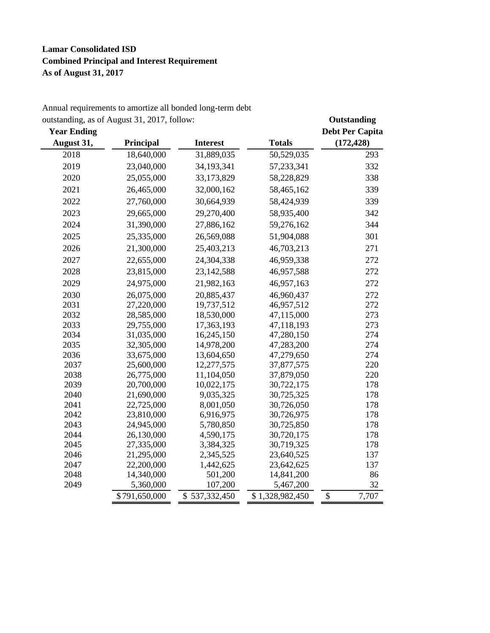# **Lamar Consolidated ISD Combined Principal and Interest Requirement As of August 31, 2017**

| August 31,<br>Principal<br><b>Interest</b><br><b>Totals</b><br>(172, 428)<br>31,889,035<br>2018<br>18,640,000<br>50,529,035<br>293<br>2019<br>23,040,000<br>34,193,341<br>57,233,341<br>332<br>2020<br>25,055,000<br>33,173,829<br>58,228,829<br>338<br>339<br>2021<br>26,465,000<br>32,000,162<br>58,465,162<br>2022<br>27,760,000<br>30,664,939<br>58,424,939<br>339<br>2023<br>29,665,000<br>29,270,400<br>58,935,400<br>342<br>2024<br>344<br>31,390,000<br>27,886,162<br>59,276,162<br>301<br>2025<br>25,335,000<br>26,569,088<br>51,904,088<br>2026<br>21,300,000<br>25,403,213<br>46,703,213<br>271<br>2027<br>22,655,000<br>24,304,338<br>46,959,338<br>272<br>2028<br>23,815,000<br>23, 142, 588<br>46,957,588<br>272<br>2029<br>46,957,163<br>24,975,000<br>21,982,163<br>272<br>2030<br>26,075,000<br>20,885,437<br>46,960,437<br>272<br>272<br>2031<br>27,220,000<br>19,737,512<br>46,957,512<br>2032<br>273<br>28,585,000<br>18,530,000<br>47,115,000<br>2033<br>273<br>29,755,000<br>17,363,193<br>47,118,193<br>2034<br>274<br>31,035,000<br>16,245,150<br>47,280,150<br>2035<br>274<br>32,305,000<br>14,978,200<br>47,283,200<br>274<br>2036<br>47,279,650<br>33,675,000<br>13,604,650<br>220<br>2037<br>25,600,000<br>12,277,575<br>37,877,575<br>220<br>2038<br>26,775,000<br>11,104,050<br>37,879,050<br>2039<br>30,722,175<br>178<br>20,700,000<br>10,022,175<br>2040<br>178<br>21,690,000<br>9,035,325<br>30,725,325<br>2041<br>22,725,000<br>8,001,050<br>30,726,050<br>178<br>2042<br>23,810,000<br>6,916,975<br>30,726,975<br>178<br>2043<br>24,945,000<br>5,780,850<br>30,725,850<br>178<br>2044<br>30,720,175<br>178<br>26,130,000<br>4,590,175<br>2045<br>27,335,000<br>3,384,325<br>30,719,325<br>178<br>2046<br>21,295,000<br>2,345,525<br>23,640,525<br>137<br>2047<br>22,200,000<br>1,442,625<br>23,642,625<br>137<br>2048<br>14,340,000<br>501,200<br>14,841,200<br>86<br>2049<br>32<br>5,360,000<br>107,200<br>5,467,200 | <b>Year Ending</b> | outstanding, as $\sigma$ August 51, 2017, follow. |               |                 | Outstanting<br><b>Debt Per Capita</b> |
|-----------------------------------------------------------------------------------------------------------------------------------------------------------------------------------------------------------------------------------------------------------------------------------------------------------------------------------------------------------------------------------------------------------------------------------------------------------------------------------------------------------------------------------------------------------------------------------------------------------------------------------------------------------------------------------------------------------------------------------------------------------------------------------------------------------------------------------------------------------------------------------------------------------------------------------------------------------------------------------------------------------------------------------------------------------------------------------------------------------------------------------------------------------------------------------------------------------------------------------------------------------------------------------------------------------------------------------------------------------------------------------------------------------------------------------------------------------------------------------------------------------------------------------------------------------------------------------------------------------------------------------------------------------------------------------------------------------------------------------------------------------------------------------------------------------------------------------------------------------------------------------------------------------------------------------------------------------|--------------------|---------------------------------------------------|---------------|-----------------|---------------------------------------|
|                                                                                                                                                                                                                                                                                                                                                                                                                                                                                                                                                                                                                                                                                                                                                                                                                                                                                                                                                                                                                                                                                                                                                                                                                                                                                                                                                                                                                                                                                                                                                                                                                                                                                                                                                                                                                                                                                                                                                           |                    |                                                   |               |                 |                                       |
|                                                                                                                                                                                                                                                                                                                                                                                                                                                                                                                                                                                                                                                                                                                                                                                                                                                                                                                                                                                                                                                                                                                                                                                                                                                                                                                                                                                                                                                                                                                                                                                                                                                                                                                                                                                                                                                                                                                                                           |                    |                                                   |               |                 |                                       |
|                                                                                                                                                                                                                                                                                                                                                                                                                                                                                                                                                                                                                                                                                                                                                                                                                                                                                                                                                                                                                                                                                                                                                                                                                                                                                                                                                                                                                                                                                                                                                                                                                                                                                                                                                                                                                                                                                                                                                           |                    |                                                   |               |                 |                                       |
|                                                                                                                                                                                                                                                                                                                                                                                                                                                                                                                                                                                                                                                                                                                                                                                                                                                                                                                                                                                                                                                                                                                                                                                                                                                                                                                                                                                                                                                                                                                                                                                                                                                                                                                                                                                                                                                                                                                                                           |                    |                                                   |               |                 |                                       |
|                                                                                                                                                                                                                                                                                                                                                                                                                                                                                                                                                                                                                                                                                                                                                                                                                                                                                                                                                                                                                                                                                                                                                                                                                                                                                                                                                                                                                                                                                                                                                                                                                                                                                                                                                                                                                                                                                                                                                           |                    |                                                   |               |                 |                                       |
|                                                                                                                                                                                                                                                                                                                                                                                                                                                                                                                                                                                                                                                                                                                                                                                                                                                                                                                                                                                                                                                                                                                                                                                                                                                                                                                                                                                                                                                                                                                                                                                                                                                                                                                                                                                                                                                                                                                                                           |                    |                                                   |               |                 |                                       |
|                                                                                                                                                                                                                                                                                                                                                                                                                                                                                                                                                                                                                                                                                                                                                                                                                                                                                                                                                                                                                                                                                                                                                                                                                                                                                                                                                                                                                                                                                                                                                                                                                                                                                                                                                                                                                                                                                                                                                           |                    |                                                   |               |                 |                                       |
|                                                                                                                                                                                                                                                                                                                                                                                                                                                                                                                                                                                                                                                                                                                                                                                                                                                                                                                                                                                                                                                                                                                                                                                                                                                                                                                                                                                                                                                                                                                                                                                                                                                                                                                                                                                                                                                                                                                                                           |                    |                                                   |               |                 |                                       |
|                                                                                                                                                                                                                                                                                                                                                                                                                                                                                                                                                                                                                                                                                                                                                                                                                                                                                                                                                                                                                                                                                                                                                                                                                                                                                                                                                                                                                                                                                                                                                                                                                                                                                                                                                                                                                                                                                                                                                           |                    |                                                   |               |                 |                                       |
|                                                                                                                                                                                                                                                                                                                                                                                                                                                                                                                                                                                                                                                                                                                                                                                                                                                                                                                                                                                                                                                                                                                                                                                                                                                                                                                                                                                                                                                                                                                                                                                                                                                                                                                                                                                                                                                                                                                                                           |                    |                                                   |               |                 |                                       |
|                                                                                                                                                                                                                                                                                                                                                                                                                                                                                                                                                                                                                                                                                                                                                                                                                                                                                                                                                                                                                                                                                                                                                                                                                                                                                                                                                                                                                                                                                                                                                                                                                                                                                                                                                                                                                                                                                                                                                           |                    |                                                   |               |                 |                                       |
|                                                                                                                                                                                                                                                                                                                                                                                                                                                                                                                                                                                                                                                                                                                                                                                                                                                                                                                                                                                                                                                                                                                                                                                                                                                                                                                                                                                                                                                                                                                                                                                                                                                                                                                                                                                                                                                                                                                                                           |                    |                                                   |               |                 |                                       |
|                                                                                                                                                                                                                                                                                                                                                                                                                                                                                                                                                                                                                                                                                                                                                                                                                                                                                                                                                                                                                                                                                                                                                                                                                                                                                                                                                                                                                                                                                                                                                                                                                                                                                                                                                                                                                                                                                                                                                           |                    |                                                   |               |                 |                                       |
|                                                                                                                                                                                                                                                                                                                                                                                                                                                                                                                                                                                                                                                                                                                                                                                                                                                                                                                                                                                                                                                                                                                                                                                                                                                                                                                                                                                                                                                                                                                                                                                                                                                                                                                                                                                                                                                                                                                                                           |                    |                                                   |               |                 |                                       |
|                                                                                                                                                                                                                                                                                                                                                                                                                                                                                                                                                                                                                                                                                                                                                                                                                                                                                                                                                                                                                                                                                                                                                                                                                                                                                                                                                                                                                                                                                                                                                                                                                                                                                                                                                                                                                                                                                                                                                           |                    |                                                   |               |                 |                                       |
|                                                                                                                                                                                                                                                                                                                                                                                                                                                                                                                                                                                                                                                                                                                                                                                                                                                                                                                                                                                                                                                                                                                                                                                                                                                                                                                                                                                                                                                                                                                                                                                                                                                                                                                                                                                                                                                                                                                                                           |                    |                                                   |               |                 |                                       |
|                                                                                                                                                                                                                                                                                                                                                                                                                                                                                                                                                                                                                                                                                                                                                                                                                                                                                                                                                                                                                                                                                                                                                                                                                                                                                                                                                                                                                                                                                                                                                                                                                                                                                                                                                                                                                                                                                                                                                           |                    |                                                   |               |                 |                                       |
|                                                                                                                                                                                                                                                                                                                                                                                                                                                                                                                                                                                                                                                                                                                                                                                                                                                                                                                                                                                                                                                                                                                                                                                                                                                                                                                                                                                                                                                                                                                                                                                                                                                                                                                                                                                                                                                                                                                                                           |                    |                                                   |               |                 |                                       |
|                                                                                                                                                                                                                                                                                                                                                                                                                                                                                                                                                                                                                                                                                                                                                                                                                                                                                                                                                                                                                                                                                                                                                                                                                                                                                                                                                                                                                                                                                                                                                                                                                                                                                                                                                                                                                                                                                                                                                           |                    |                                                   |               |                 |                                       |
|                                                                                                                                                                                                                                                                                                                                                                                                                                                                                                                                                                                                                                                                                                                                                                                                                                                                                                                                                                                                                                                                                                                                                                                                                                                                                                                                                                                                                                                                                                                                                                                                                                                                                                                                                                                                                                                                                                                                                           |                    |                                                   |               |                 |                                       |
|                                                                                                                                                                                                                                                                                                                                                                                                                                                                                                                                                                                                                                                                                                                                                                                                                                                                                                                                                                                                                                                                                                                                                                                                                                                                                                                                                                                                                                                                                                                                                                                                                                                                                                                                                                                                                                                                                                                                                           |                    |                                                   |               |                 |                                       |
|                                                                                                                                                                                                                                                                                                                                                                                                                                                                                                                                                                                                                                                                                                                                                                                                                                                                                                                                                                                                                                                                                                                                                                                                                                                                                                                                                                                                                                                                                                                                                                                                                                                                                                                                                                                                                                                                                                                                                           |                    |                                                   |               |                 |                                       |
|                                                                                                                                                                                                                                                                                                                                                                                                                                                                                                                                                                                                                                                                                                                                                                                                                                                                                                                                                                                                                                                                                                                                                                                                                                                                                                                                                                                                                                                                                                                                                                                                                                                                                                                                                                                                                                                                                                                                                           |                    |                                                   |               |                 |                                       |
|                                                                                                                                                                                                                                                                                                                                                                                                                                                                                                                                                                                                                                                                                                                                                                                                                                                                                                                                                                                                                                                                                                                                                                                                                                                                                                                                                                                                                                                                                                                                                                                                                                                                                                                                                                                                                                                                                                                                                           |                    |                                                   |               |                 |                                       |
|                                                                                                                                                                                                                                                                                                                                                                                                                                                                                                                                                                                                                                                                                                                                                                                                                                                                                                                                                                                                                                                                                                                                                                                                                                                                                                                                                                                                                                                                                                                                                                                                                                                                                                                                                                                                                                                                                                                                                           |                    |                                                   |               |                 |                                       |
|                                                                                                                                                                                                                                                                                                                                                                                                                                                                                                                                                                                                                                                                                                                                                                                                                                                                                                                                                                                                                                                                                                                                                                                                                                                                                                                                                                                                                                                                                                                                                                                                                                                                                                                                                                                                                                                                                                                                                           |                    |                                                   |               |                 |                                       |
|                                                                                                                                                                                                                                                                                                                                                                                                                                                                                                                                                                                                                                                                                                                                                                                                                                                                                                                                                                                                                                                                                                                                                                                                                                                                                                                                                                                                                                                                                                                                                                                                                                                                                                                                                                                                                                                                                                                                                           |                    |                                                   |               |                 |                                       |
|                                                                                                                                                                                                                                                                                                                                                                                                                                                                                                                                                                                                                                                                                                                                                                                                                                                                                                                                                                                                                                                                                                                                                                                                                                                                                                                                                                                                                                                                                                                                                                                                                                                                                                                                                                                                                                                                                                                                                           |                    |                                                   |               |                 |                                       |
|                                                                                                                                                                                                                                                                                                                                                                                                                                                                                                                                                                                                                                                                                                                                                                                                                                                                                                                                                                                                                                                                                                                                                                                                                                                                                                                                                                                                                                                                                                                                                                                                                                                                                                                                                                                                                                                                                                                                                           |                    |                                                   |               |                 |                                       |
|                                                                                                                                                                                                                                                                                                                                                                                                                                                                                                                                                                                                                                                                                                                                                                                                                                                                                                                                                                                                                                                                                                                                                                                                                                                                                                                                                                                                                                                                                                                                                                                                                                                                                                                                                                                                                                                                                                                                                           |                    |                                                   |               |                 |                                       |
|                                                                                                                                                                                                                                                                                                                                                                                                                                                                                                                                                                                                                                                                                                                                                                                                                                                                                                                                                                                                                                                                                                                                                                                                                                                                                                                                                                                                                                                                                                                                                                                                                                                                                                                                                                                                                                                                                                                                                           |                    |                                                   |               |                 |                                       |
|                                                                                                                                                                                                                                                                                                                                                                                                                                                                                                                                                                                                                                                                                                                                                                                                                                                                                                                                                                                                                                                                                                                                                                                                                                                                                                                                                                                                                                                                                                                                                                                                                                                                                                                                                                                                                                                                                                                                                           |                    |                                                   |               |                 |                                       |
|                                                                                                                                                                                                                                                                                                                                                                                                                                                                                                                                                                                                                                                                                                                                                                                                                                                                                                                                                                                                                                                                                                                                                                                                                                                                                                                                                                                                                                                                                                                                                                                                                                                                                                                                                                                                                                                                                                                                                           |                    |                                                   |               |                 |                                       |
|                                                                                                                                                                                                                                                                                                                                                                                                                                                                                                                                                                                                                                                                                                                                                                                                                                                                                                                                                                                                                                                                                                                                                                                                                                                                                                                                                                                                                                                                                                                                                                                                                                                                                                                                                                                                                                                                                                                                                           |                    |                                                   |               |                 |                                       |
|                                                                                                                                                                                                                                                                                                                                                                                                                                                                                                                                                                                                                                                                                                                                                                                                                                                                                                                                                                                                                                                                                                                                                                                                                                                                                                                                                                                                                                                                                                                                                                                                                                                                                                                                                                                                                                                                                                                                                           |                    | \$791,650,000                                     | \$537,332,450 | \$1,328,982,450 | $\mathsf{\$}$<br>7,707                |

Annual requirements to amortize all bonded long-term debt outstanding, as of August 31, 2017, follow: **Outstanding**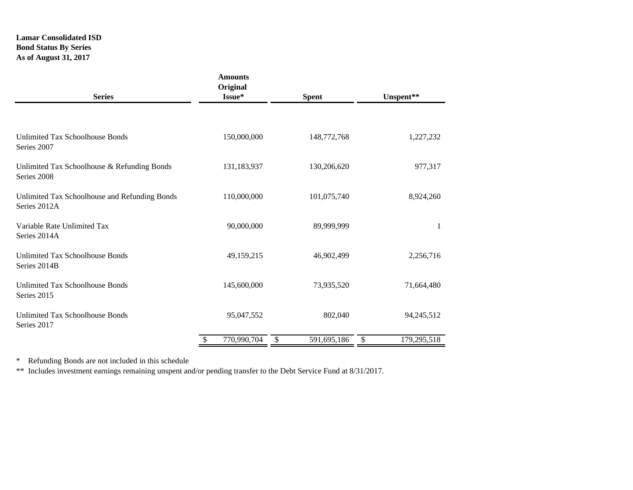# **Lamar Consolidated ISD Bond Status By Series As of August 31, 2017**

| <b>Series</b>                                                 | <b>Amounts</b><br>Original<br>Issue* | <b>Spent</b>      |                   |
|---------------------------------------------------------------|--------------------------------------|-------------------|-------------------|
|                                                               |                                      |                   |                   |
| Unlimited Tax Schoolhouse Bonds<br>Series 2007                | 150,000,000                          | 148,772,768       | 1,227,232         |
| Unlimited Tax Schoolhouse & Refunding Bonds<br>Series 2008    | 131,183,937                          | 130,206,620       | 977,317           |
| Unlimited Tax Schoolhouse and Refunding Bonds<br>Series 2012A | 110,000,000                          | 101,075,740       | 8,924,260         |
| Variable Rate Unlimited Tax<br>Series 2014A                   | 90,000,000                           | 89,999,999        | 1                 |
| Unlimited Tax Schoolhouse Bonds<br>Series 2014B               | 49,159,215                           | 46,902,499        | 2,256,716         |
| <b>Unlimited Tax Schoolhouse Bonds</b><br>Series 2015         | 145,600,000                          | 73,935,520        | 71,664,480        |
| <b>Unlimited Tax Schoolhouse Bonds</b><br>Series 2017         | 95,047,552                           | 802,040           | 94,245,512        |
|                                                               | 770,990,704<br>\$                    | 591,695,186<br>\$ | 179,295,518<br>\$ |

\* Refunding Bonds are not included in this schedule

\*\* Includes investment earnings remaining unspent and/or pending transfer to the Debt Service Fund at 8/31/2017.